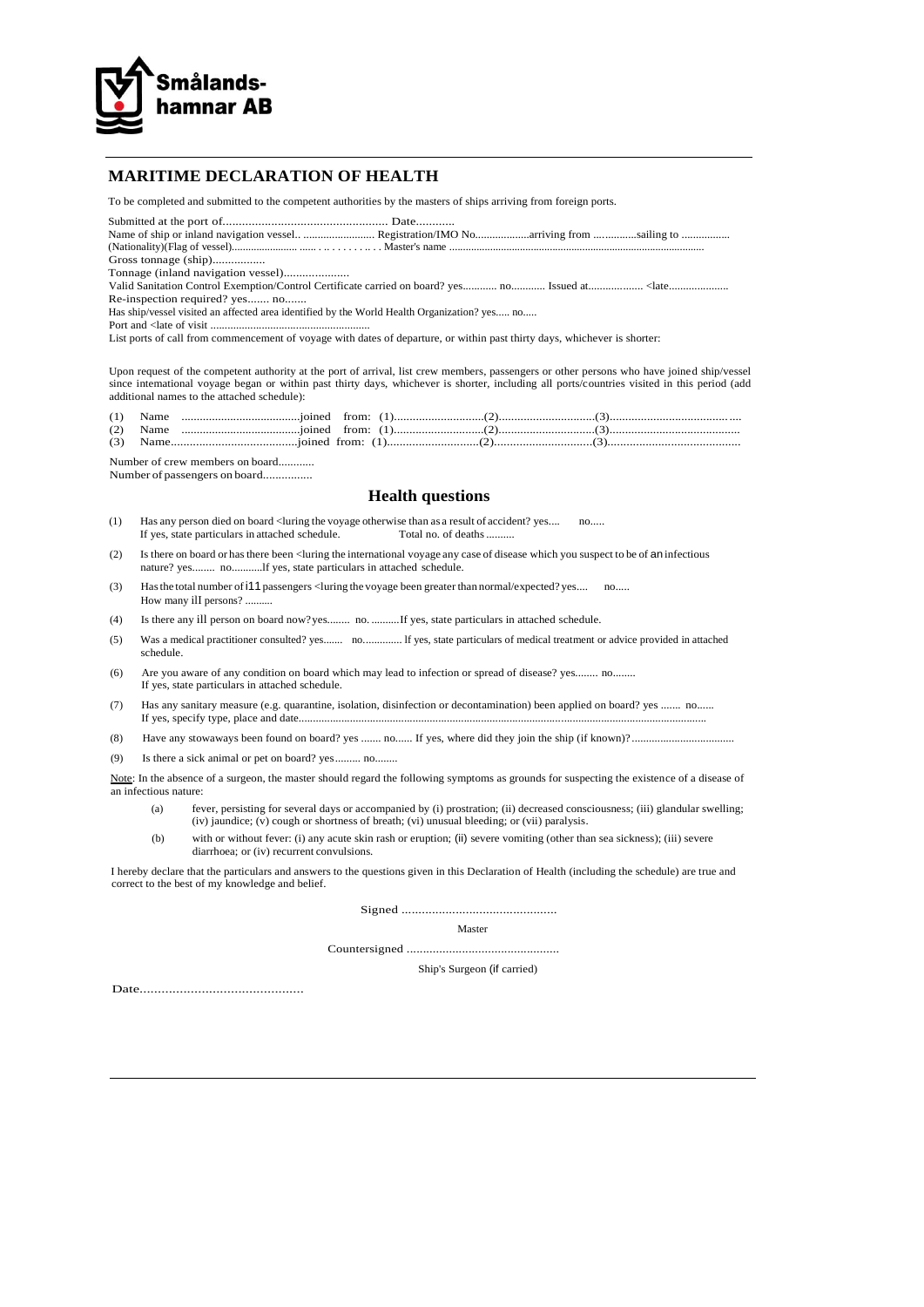

## **MARITIME DECLARATION OF HEALTH**

To be completed and submitted to the competent authorities by the masters of ships arriving from foreign ports.

Submitted at the port of................................................... Date............ Name of ship or inland navigation vessel.. ......................... Registration/IMO No...................arriving from ...............sailing to ................. (Nationality)(Flag of vessel)........................ ...... . .. . . . . . . .. . . Master's name ..............................................................................................

Gross tonnage (ship).................

Tonnage (inland navigation vessel).....................

Valid Sanitation Control Exemption/Control Certificate carried on board? yes............ no............ Issued at................... <late.....................

Re-inspection required? yes....... no.......

Has ship/vessel visited an affected area identified by the World Health Organization? yes..... no.....

Port and <late of visit ........................................................

List ports of call from commencement of voyage with dates of departure, or within past thirty days, whichever is shorter:

Upon request of the competent authority at the port of arrival, list crew members, passengers or other persons who have joined ship/vessel since intemational voyage began or within past thirty days, whichever is shorter, including all ports/countries visited in this period (add additional names to the attached schedule):

| (1) | Name          |                  |  |  |  |
|-----|---------------|------------------|--|--|--|
|     | $(2)$ Name    |                  |  |  |  |
|     | $(2)$ Massach | isinad from: (1) |  |  |  |

| (2) | Name. | ioined | from:                    |  |  |
|-----|-------|--------|--------------------------|--|--|
| (3) | Name  |        | ioined from <sup>.</sup> |  |  |

Number of crew members on board............

Number of passengers on board................

## **Health questions**

- (1) Has any person died on board < luring the voyage otherwise than as a result of accident? yes.... no... If yes. state particulars in attached schedule. Total no. of deaths .......... If yes, state particulars in attached schedule.
- (2) Is there on board or hasthere been <luring the international voyage any case of disease which you suspect to be of an infectious nature? yes........ no...........lf yes, state particulars in attached schedule.
- (3) Hasthe total number ofi11 passengers <luring the voyage been greaterthan normal/expected? yes.... no..... How many ilI persons? ..........
- (4) Is there any ill person on board now?yes........ no. ..........If yes, state particulars in attached schedule.
- (5) Was a medical practitioner consulted? yes....... no.............. lf yes, state particulars of medical treatment or advice provided in attached schedule.
- (6) Are you aware of any condition on board which may lead to infection or spread of disease? yes........ no........ If yes, state particulars in attached schedule.
- (7) Has any sanitary measure (e.g. quarantine, isolation, disinfection or decontamination) been applied on board? yes ....... no...... If yes, specify type, place and date...............................................................................................................................................
- (8) Have any stowaways been found on board? yes ....... no...... If yes, where did they join the ship (if known)? ....................................
- (9) Is there a sick animal or pet on board? yes......... no........

Note: In the absence of a surgeon, the master should regard the following symptoms as grounds for suspecting the existence of a disease of an infectious nature:

- (a) fever, persisting for several days or accompanied by (i) prostration; (ii) decreased consciousness; (iii) glandular swelling; (iv) jaundice; (v) cough or shortness of breath; (vi) unusual bleeding; or (vii) paralysis.
- (b) with or without fever: (i) any acute skin rash or eruption; (ii) severe vomiting (other than sea sickness); (iii) severe diarrhoea; or (iv) recurrent convulsions.

I hereby declare that the particulars and answers to the questions given in this Declaration of Health (including the schedule) are true and correct to the best of my knowledge and belief.

Signed ..............................................

Master

Countersigned ...............................................

Ship's Surgeon (if carried)

Date.............................................